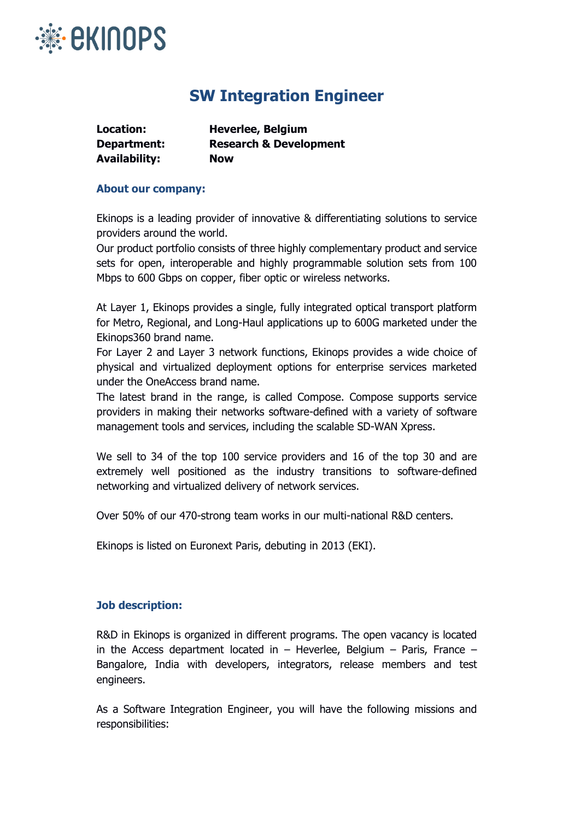

## **SW Integration Engineer**

| Location:            | <b>Heverlee, Belgium</b>          |
|----------------------|-----------------------------------|
| Department:          | <b>Research &amp; Development</b> |
| <b>Availability:</b> | <b>Now</b>                        |

## **About our company:**

Ekinops is a leading provider of innovative & differentiating solutions to service providers around the world.

Our product portfolio consists of three highly complementary product and service sets for open, interoperable and highly programmable solution sets from 100 Mbps to 600 Gbps on copper, fiber optic or wireless networks.

At Layer 1, Ekinops provides a single, fully integrated optical transport platform for Metro, Regional, and Long-Haul applications up to 600G marketed under the Ekinops360 brand name.

For Layer 2 and Layer 3 network functions, Ekinops provides a wide choice of physical and virtualized deployment options for enterprise services marketed under the OneAccess brand name.

The latest brand in the range, is called Compose. Compose supports service providers in making their networks software-defined with a variety of software management tools and services, including the scalable SD-WAN Xpress.

We sell to 34 of the top 100 service providers and 16 of the top 30 and are extremely well positioned as the industry transitions to software-defined networking and virtualized delivery of network services.

Over 50% of our 470-strong team works in our multi-national R&D centers.

Ekinops is listed on Euronext Paris, debuting in 2013 (EKI).

## **Job description:**

R&D in Ekinops is organized in different programs. The open vacancy is located in the Access department located in  $-$  Heverlee, Belgium  $-$  Paris, France  $-$ Bangalore, India with developers, integrators, release members and test engineers.

As a Software Integration Engineer, you will have the following missions and responsibilities: